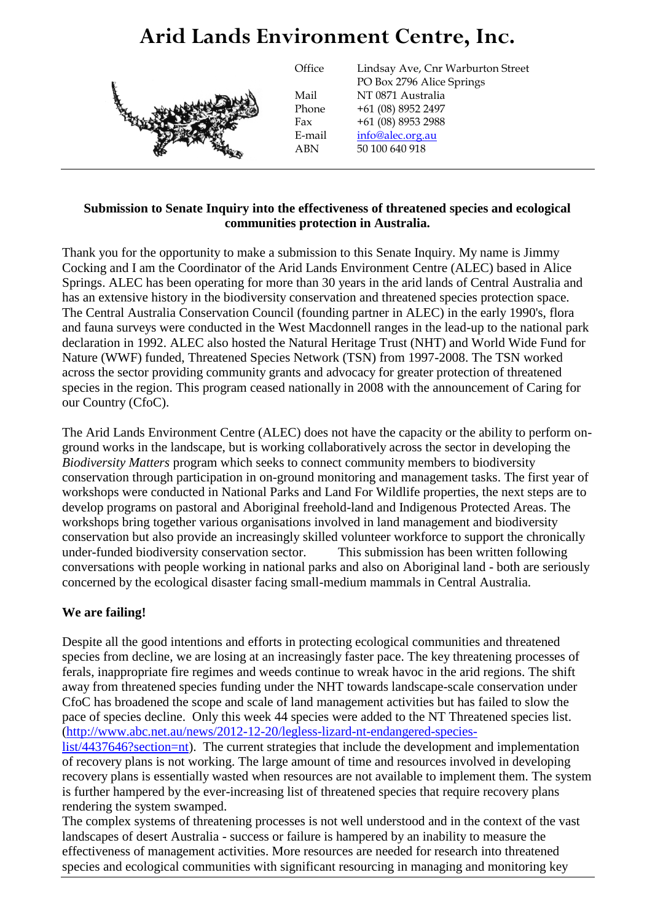## **Arid Lands Environment Centre, Inc.**



**Office** Mail

Lindsay Ave, Cnr Warburton Street PO Box 2796 Alice Springs NT 0871 Australia Phone +61 (08) 8952 2497 Fax +61 (08) 8953 2988 E-mail info@alec.org.au ABN 50 100 640 918

## **Submission to Senate Inquiry into the effectiveness of threatened species and ecological communities protection in Australia.**

Thank you for the opportunity to make a submission to this Senate Inquiry. My name is Jimmy Cocking and I am the Coordinator of the Arid Lands Environment Centre (ALEC) based in Alice Springs. ALEC has been operating for more than 30 years in the arid lands of Central Australia and has an extensive history in the biodiversity conservation and threatened species protection space. The Central Australia Conservation Council (founding partner in ALEC) in the early 1990's, flora and fauna surveys were conducted in the West Macdonnell ranges in the lead-up to the national park declaration in 1992. ALEC also hosted the Natural Heritage Trust (NHT) and World Wide Fund for Nature (WWF) funded, Threatened Species Network (TSN) from 1997-2008. The TSN worked across the sector providing community grants and advocacy for greater protection of threatened species in the region. This program ceased nationally in 2008 with the announcement of Caring for our Country (CfoC).

The Arid Lands Environment Centre (ALEC) does not have the capacity or the ability to perform onground works in the landscape, but is working collaboratively across the sector in developing the *Biodiversity Matters* program which seeks to connect community members to biodiversity conservation through participation in on-ground monitoring and management tasks. The first year of workshops were conducted in National Parks and Land For Wildlife properties, the next steps are to develop programs on pastoral and Aboriginal freehold-land and Indigenous Protected Areas. The workshops bring together various organisations involved in land management and biodiversity conservation but also provide an increasingly skilled volunteer workforce to support the chronically under-funded biodiversity conservation sector. This submission has been written following conversations with people working in national parks and also on Aboriginal land - both are seriously concerned by the ecological disaster facing small-medium mammals in Central Australia.

## **We are failing!**

Despite all the good intentions and efforts in protecting ecological communities and threatened species from decline, we are losing at an increasingly faster pace. The key threatening processes of ferals, inappropriate fire regimes and weeds continue to wreak havoc in the arid regions. The shift away from threatened species funding under the NHT towards landscape-scale conservation under CfoC has broadened the scope and scale of land management activities but has failed to slow the pace of species decline. Only this week 44 species were added to the NT Threatened species list. [\(http://www.abc.net.au/news/2012-12-20/legless-lizard-nt-endangered-species-](http://www.abc.net.au/news/2012-12-20/legless-lizard-nt-endangered-species-list/4437646?section=nt)

[list/4437646?section=nt\)](http://www.abc.net.au/news/2012-12-20/legless-lizard-nt-endangered-species-list/4437646?section=nt). The current strategies that include the development and implementation of recovery plans is not working. The large amount of time and resources involved in developing recovery plans is essentially wasted when resources are not available to implement them. The system is further hampered by the ever-increasing list of threatened species that require recovery plans rendering the system swamped.

The complex systems of threatening processes is not well understood and in the context of the vast landscapes of desert Australia - success or failure is hampered by an inability to measure the effectiveness of management activities. More resources are needed for research into threatened species and ecological communities with significant resourcing in managing and monitoring key